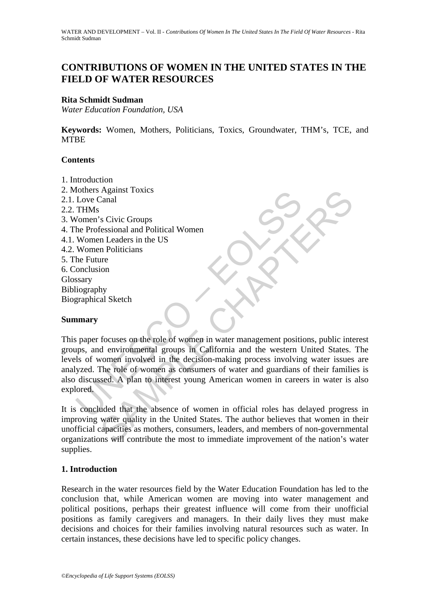# **CONTRIBUTIONS OF WOMEN IN THE UNITED STATES IN THE FIELD OF WATER RESOURCES**

#### **Rita Schmidt Sudman**

*Water Education Foundation, USA* 

**Keywords:** Women, Mothers, Politicians, Toxics, Groundwater, THM's, TCE, and **MTBE** 

### **Contents**

- 1. Introduction
- France Control and Political Women<br>
Love Canal<br>
THMs<br>
Vomen 's Civic Groups<br>
Re Professional and Political Women<br>
Women Leaders in the US<br>
Women Politicians<br>
Sexped. The Future<br>
Intervalsed Sketch<br>
The Future of Women in w 2. Mothers Against Toxics 2.1. Love Canal 2.2. THMs 3. Women's Civic Groups 4. The Professional and Political Women 4.1. Women Leaders in the US 4.2. Women Politicians 5. The Future 6. Conclusion Glossary Bibliography Biographical Sketch

### **Summary**

Against 1 oxics<br>
Samal<br>
Samal and Political Women<br>
In Leaders in the US<br>
In Politicians<br>
Incores in the US<br>
In Politicians<br>
Interval and Political Women<br>
Incores in the US<br>
Same Incores of Women in water management positio This paper focuses on the role of women in water management positions, public interest groups, and environmental groups in California and the western United States. The levels of women involved in the decision-making process involving water issues are analyzed. The role of women as consumers of water and guardians of their families is also discussed. A plan to interest young American women in careers in water is also explored.

It is concluded that the absence of women in official roles has delayed progress in improving water quality in the United States. The author believes that women in their unofficial capacities as mothers, consumers, leaders, and members of non-governmental organizations will contribute the most to immediate improvement of the nation's water supplies.

### **1. Introduction**

Research in the water resources field by the Water Education Foundation has led to the conclusion that, while American women are moving into water management and political positions, perhaps their greatest influence will come from their unofficial positions as family caregivers and managers. In their daily lives they must make decisions and choices for their families involving natural resources such as water. In certain instances, these decisions have led to specific policy changes.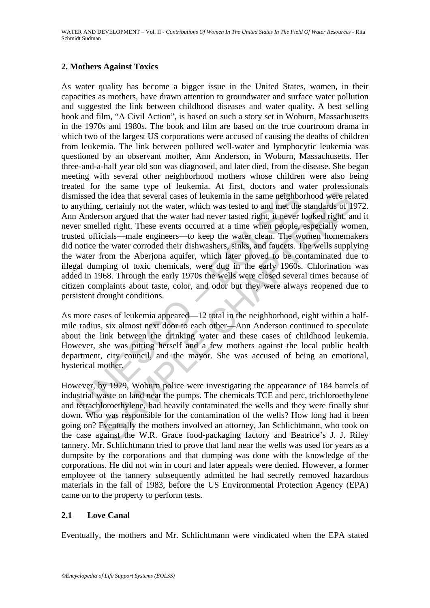## **2. Mothers Against Toxics**

inissed the idea that several cases of leukemia in the same neighborouthly mything, certainly not the water, which was tested to and met the Anderson argued that the water had never tasted right, it never leven the Anderso the idea that several cases of leukemia in the same neighborhood were relate the idea that several cases of leukemia in the same neighborhood were related in the water had never tasted right, it never had never the standar As water quality has become a bigger issue in the United States, women, in their capacities as mothers, have drawn attention to groundwater and surface water pollution and suggested the link between childhood diseases and water quality. A best selling book and film, "A Civil Action", is based on such a story set in Woburn, Massachusetts in the 1970s and 1980s. The book and film are based on the true courtroom drama in which two of the largest US corporations were accused of causing the deaths of children from leukemia. The link between polluted well-water and lymphocytic leukemia was questioned by an observant mother, Ann Anderson, in Woburn, Massachusetts. Her three-and-a-half year old son was diagnosed, and later died, from the disease. She began meeting with several other neighborhood mothers whose children were also being treated for the same type of leukemia. At first, doctors and water professionals dismissed the idea that several cases of leukemia in the same neighborhood were related to anything, certainly not the water, which was tested to and met the standards of 1972. Ann Anderson argued that the water had never tasted right, it never looked right, and it never smelled right. These events occurred at a time when people, especially women, trusted officials—male engineers—to keep the water clean. The women homemakers did notice the water corroded their dishwashers, sinks, and faucets. The wells supplying the water from the Aberjona aquifer, which later proved to be contaminated due to illegal dumping of toxic chemicals, were dug in the early 1960s. Chlorination was added in 1968. Through the early 1970s the wells were closed several times because of citizen complaints about taste, color, and odor but they were always reopened due to persistent drought conditions.

As more cases of leukemia appeared—12 total in the neighborhood, eight within a halfmile radius, six almost next door to each other—Ann Anderson continued to speculate about the link between the drinking water and these cases of childhood leukemia. However, she was pitting herself and a few mothers against the local public health department, city council, and the mayor. She was accused of being an emotional, hysterical mother.

However, by 1979, Woburn police were investigating the appearance of 184 barrels of industrial waste on land near the pumps. The chemicals TCE and perc, trichloroethylene and tetrachloroethylene, had heavily contaminated the wells and they were finally shut down. Who was responsible for the contamination of the wells? How long had it been going on? Eventually the mothers involved an attorney, Jan Schlichtmann, who took on the case against the W.R. Grace food-packaging factory and Beatrice's J. J. Riley tannery. Mr. Schlichtmann tried to prove that land near the wells was used for years as a dumpsite by the corporations and that dumping was done with the knowledge of the corporations. He did not win in court and later appeals were denied. However, a former employee of the tannery subsequently admitted he had secretly removed hazardous materials in the fall of 1983, before the US Environmental Protection Agency (EPA) came on to the property to perform tests.

### **2.1 Love Canal**

Eventually, the mothers and Mr. Schlichtmann were vindicated when the EPA stated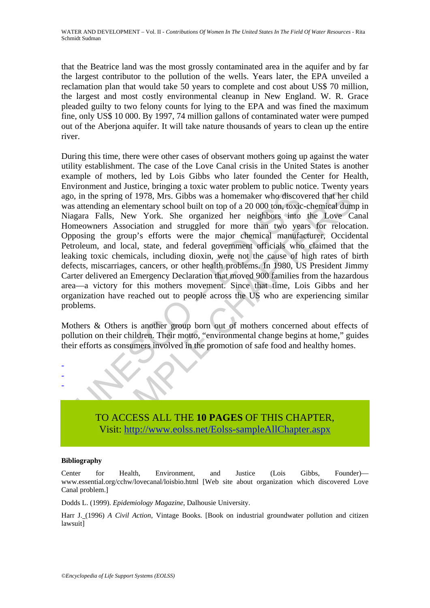WATER AND DEVELOPMENT – Vol. II - *Contributions Of Women In The United States In The Field Of Water Resources* - Rita Schmidt Sudman

that the Beatrice land was the most grossly contaminated area in the aquifer and by far the largest contributor to the pollution of the wells. Years later, the EPA unveiled a reclamation plan that would take 50 years to complete and cost about US\$ 70 million, the largest and most costly environmental cleanup in New England. W. R. Grace pleaded guilty to two felony counts for lying to the EPA and was fined the maximum fine, only US\$ 10 000. By 1997, 74 million gallons of contaminated water were pumped out of the Aberjona aquifer. It will take nature thousands of years to clean up the entire river.

in the spring of 1978, Mrs. Gibbs was a homemaker who discovered attending an elementary school built on top of a 20 000 ton, toxic and a straight and built on top of a 20 000 ton, toxic agains are alls, New York. She org spring of 1978, Mrs. Gibbs was a homemaker who discovered that her comparing of 1978, Mrs. Gibbs was a homemaker who discovered that her comparing an elementary school built on top of a 20 000 ton, toxic-chemical dum all s During this time, there were other cases of observant mothers going up against the water utility establishment. The case of the Love Canal crisis in the United States is another example of mothers, led by Lois Gibbs who later founded the Center for Health, Environment and Justice, bringing a toxic water problem to public notice. Twenty years ago, in the spring of 1978, Mrs. Gibbs was a homemaker who discovered that her child was attending an elementary school built on top of a 20 000 ton, toxic-chemical dump in Niagara Falls, New York. She organized her neighbors into the Love Canal Homeowners Association and struggled for more than two years for relocation. Opposing the group's efforts were the major chemical manufacturer, Occidental Petroleum, and local, state, and federal government officials who claimed that the leaking toxic chemicals, including dioxin, were not the cause of high rates of birth defects, miscarriages, cancers, or other health problems. In 1980, US President Jimmy Carter delivered an Emergency Declaration that moved 900 families from the hazardous area—a victory for this mothers movement. Since that time, Lois Gibbs and her organization have reached out to people across the US who are experiencing similar problems.

Mothers & Others is another group born out of mothers concerned about effects of pollution on their children. Their motto, "environmental change begins at home," guides their efforts as consumers involved in the promotion of safe food and healthy homes.



#### **Bibliography**

- - -

Center for Health, Environment, and Justice (Lois Gibbs, Founder) www.essential.org/cchw/lovecanal/loisbio.html [Web site about organization which discovered Love Canal problem.]

Dodds L. (1999). *Epidemiology Magazine*, Dalhousie University.

Harr J. (1996) *A Civil Action*, Vintage Books. [Book on industrial groundwater pollution and citizen lawsuit]